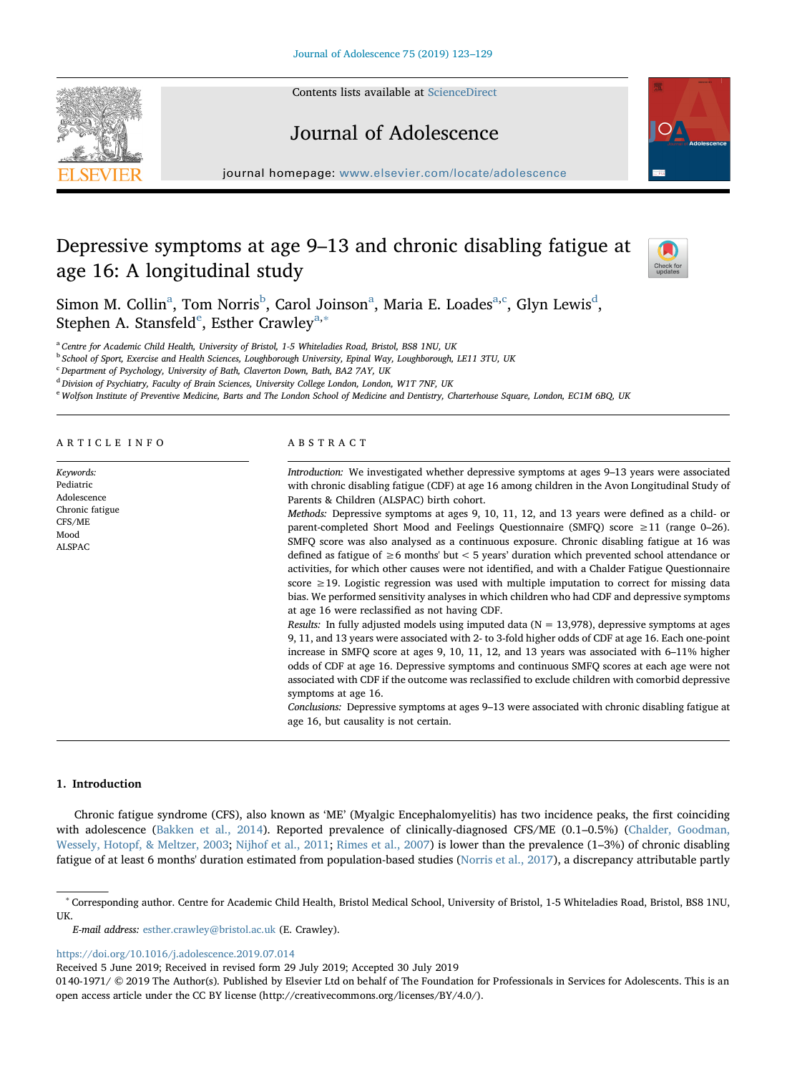Contents lists available at [ScienceDirect](http://www.sciencedirect.com/science/journal/01401971)



journal homepage: [www.elsevier.com/locate/adolescence](https://www.elsevier.com/locate/adolescence)

Journal of Adolescence

# Depressive symptoms at age 9–13 and chronic disabling fatigue at age 16: A longitudinal study



Simon M. Collin<sup>[a](#page-0-0)</sup>, Tom Norris<sup>[b](#page-0-1)</sup>, Carol Joinson<sup>a</sup>, Maria E. Loades<sup>a[,c](#page-0-2)</sup>, Glyn Lewis<sup>[d](#page-0-3)</sup>, St[e](#page-0-4)phen A. St[a](#page-0-0)nsfeld<sup>e</sup>, Esther Crawley<sup>a,[∗](#page-0-5)</sup>

<span id="page-0-0"></span><sup>a</sup> Centre for Academic Child Health, University of Bristol, 1-5 Whiteladies Road, Bristol, BS8 1NU, UK

<span id="page-0-1"></span>**b School of Sport, Exercise and Health Sciences, Loughborough University, Epinal Way, Loughborough, LE11 3TU, UK** 

<span id="page-0-2"></span><sup>c</sup> Department of Psychology, University of Bath, Claverton Down, Bath, BA2 7AY, UK

<span id="page-0-3"></span><sup>d</sup> Division of Psychiatry, Faculty of Brain Sciences, University College London, London, W1T 7NF, UK

<span id="page-0-4"></span><sup>e</sup> Wolfson Institute of Preventive Medicine, Barts and The London School of Medicine and Dentistry, Charterhouse Square, London, EC1M 6BQ, UK

ARTICLE INFO

Keywords: Pediatric Adolescence Chronic fatigue CFS/ME Mood ALSPAC

# ABSTRACT

Introduction: We investigated whether depressive symptoms at ages 9–13 years were associated with chronic disabling fatigue (CDF) at age 16 among children in the Avon Longitudinal Study of Parents & Children (ALSPAC) birth cohort.

Methods: Depressive symptoms at ages 9, 10, 11, 12, and 13 years were defined as a child- or parent-completed Short Mood and Feelings Questionnaire (SMFQ) score ≥11 (range 0–26). SMFQ score was also analysed as a continuous exposure. Chronic disabling fatigue at 16 was defined as fatigue of ≥6 months' but < 5 years' duration which prevented school attendance or activities, for which other causes were not identified, and with a Chalder Fatigue Questionnaire score ≥19. Logistic regression was used with multiple imputation to correct for missing data bias. We performed sensitivity analyses in which children who had CDF and depressive symptoms at age 16 were reclassified as not having CDF.

Results: In fully adjusted models using imputed data ( $N = 13,978$ ), depressive symptoms at ages 9, 11, and 13 years were associated with 2- to 3-fold higher odds of CDF at age 16. Each one-point increase in SMFQ score at ages 9, 10, 11, 12, and 13 years was associated with 6–11% higher odds of CDF at age 16. Depressive symptoms and continuous SMFQ scores at each age were not associated with CDF if the outcome was reclassified to exclude children with comorbid depressive symptoms at age 16.

Conclusions: Depressive symptoms at ages 9–13 were associated with chronic disabling fatigue at age 16, but causality is not certain.

# 1. Introduction

Chronic fatigue syndrome (CFS), also known as 'ME' (Myalgic Encephalomyelitis) has two incidence peaks, the first coinciding with adolescence [\(Bakken et al., 2014](#page-6-0)). Reported prevalence of clinically-diagnosed CFS/ME (0.1–0.5%) [\(Chalder, Goodman,](#page-6-1) [Wessely, Hotopf, & Meltzer, 2003;](#page-6-1) [Nijhof et al., 2011](#page-6-2); [Rimes et al., 2007\)](#page-6-3) is lower than the prevalence (1–3%) of chronic disabling fatigue of at least 6 months' duration estimated from population-based studies ([Norris et al., 2017\)](#page-6-4), a discrepancy attributable partly

<https://doi.org/10.1016/j.adolescence.2019.07.014>

Received 5 June 2019; Received in revised form 29 July 2019; Accepted 30 July 2019

<span id="page-0-5"></span><sup>∗</sup> Corresponding author. Centre for Academic Child Health, Bristol Medical School, University of Bristol, 1-5 Whiteladies Road, Bristol, BS8 1NU, UK.

E-mail address: [esther.crawley@bristol.ac.uk](mailto:esther.crawley@bristol.ac.uk) (E. Crawley).

<sup>0140-1971/ © 2019</sup> The Author(s). Published by Elsevier Ltd on behalf of The Foundation for Professionals in Services for Adolescents. This is an open access article under the CC BY license (http://creativecommons.org/licen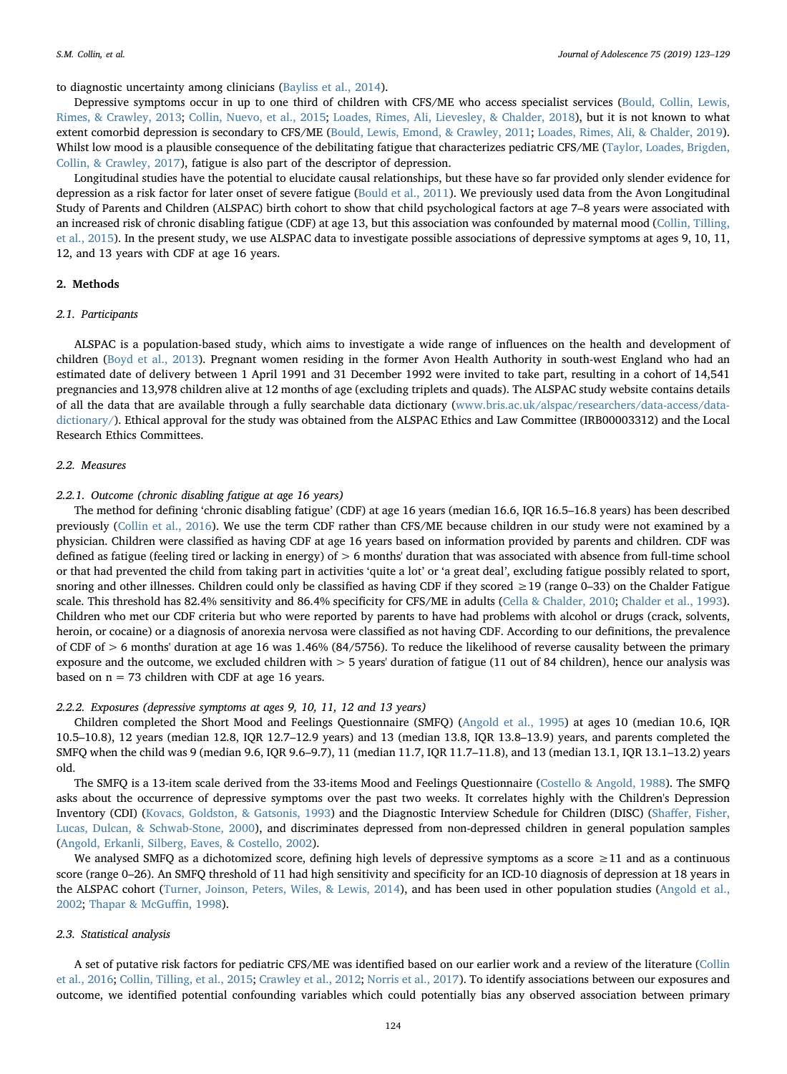to diagnostic uncertainty among clinicians ([Bayliss et al., 2014\)](#page-6-5).

Depressive symptoms occur in up to one third of children with CFS/ME who access specialist services [\(Bould, Collin, Lewis,](#page-6-6) [Rimes, & Crawley, 2013;](#page-6-6) [Collin, Nuevo, et al., 2015;](#page-6-7) [Loades, Rimes, Ali, Lievesley, & Chalder, 2018\)](#page-6-8), but it is not known to what extent comorbid depression is secondary to CFS/ME ([Bould, Lewis, Emond, & Crawley, 2011;](#page-6-9) [Loades, Rimes, Ali, & Chalder, 2019](#page-6-10)). Whilst low mood is a plausible consequence of the debilitating fatigue that characterizes pediatric CFS/ME ([Taylor, Loades, Brigden,](#page-6-11) [Collin, & Crawley, 2017\)](#page-6-11), fatigue is also part of the descriptor of depression.

Longitudinal studies have the potential to elucidate causal relationships, but these have so far provided only slender evidence for depression as a risk factor for later onset of severe fatigue ([Bould et al., 2011\)](#page-6-9). We previously used data from the Avon Longitudinal Study of Parents and Children (ALSPAC) birth cohort to show that child psychological factors at age 7–8 years were associated with an increased risk of chronic disabling fatigue (CDF) at age 13, but this association was confounded by maternal mood ([Collin, Tilling,](#page-6-12) [et al., 2015\)](#page-6-12). In the present study, we use ALSPAC data to investigate possible associations of depressive symptoms at ages 9, 10, 11, 12, and 13 years with CDF at age 16 years.

#### 2. Methods

#### 2.1. Participants

ALSPAC is a population-based study, which aims to investigate a wide range of influences on the health and development of children [\(Boyd et al., 2013](#page-6-13)). Pregnant women residing in the former Avon Health Authority in south-west England who had an estimated date of delivery between 1 April 1991 and 31 December 1992 were invited to take part, resulting in a cohort of 14,541 pregnancies and 13,978 children alive at 12 months of age (excluding triplets and quads). The ALSPAC study website contains details of all the data that are available through a fully searchable data dictionary [\(www.bris.ac.uk/alspac/researchers/data-access/data](http://www.bris.ac.uk/alspac/researchers/data-access/data-dictionary/)[dictionary/\)](http://www.bris.ac.uk/alspac/researchers/data-access/data-dictionary/). Ethical approval for the study was obtained from the ALSPAC Ethics and Law Committee (IRB00003312) and the Local Research Ethics Committees.

#### 2.2. Measures

# 2.2.1. Outcome (chronic disabling fatigue at age 16 years)

The method for defining 'chronic disabling fatigue' (CDF) at age 16 years (median 16.6, IQR 16.5–16.8 years) has been described previously ([Collin et al., 2016\)](#page-6-14). We use the term CDF rather than CFS/ME because children in our study were not examined by a physician. Children were classified as having CDF at age 16 years based on information provided by parents and children. CDF was defined as fatigue (feeling tired or lacking in energy) of > 6 months' duration that was associated with absence from full-time school or that had prevented the child from taking part in activities 'quite a lot' or 'a great deal', excluding fatigue possibly related to sport, snoring and other illnesses. Children could only be classified as having CDF if they scored ≥19 (range 0–33) on the Chalder Fatigue scale. This threshold has 82.4% sensitivity and 86.4% specificity for CFS/ME in adults ([Cella & Chalder, 2010;](#page-6-15) [Chalder et al., 1993](#page-6-16)). Children who met our CDF criteria but who were reported by parents to have had problems with alcohol or drugs (crack, solvents, heroin, or cocaine) or a diagnosis of anorexia nervosa were classified as not having CDF. According to our definitions, the prevalence of CDF of  $> 6$  months' duration at age 16 was 1.46% (84/5756). To reduce the likelihood of reverse causality between the primary exposure and the outcome, we excluded children with > 5 years' duration of fatigue (11 out of 84 children), hence our analysis was based on  $n = 73$  children with CDF at age 16 years.

### 2.2.2. Exposures (depressive symptoms at ages 9, 10, 11, 12 and 13 years)

Children completed the Short Mood and Feelings Questionnaire (SMFQ) [\(Angold et al., 1995\)](#page-6-17) at ages 10 (median 10.6, IQR 10.5–10.8), 12 years (median 12.8, IQR 12.7–12.9 years) and 13 (median 13.8, IQR 13.8–13.9) years, and parents completed the SMFQ when the child was 9 (median 9.6, IQR 9.6–9.7), 11 (median 11.7, IQR 11.7–11.8), and 13 (median 13.1, IQR 13.1–13.2) years old.

The SMFQ is a 13-item scale derived from the 33-items Mood and Feelings Questionnaire ([Costello & Angold, 1988\)](#page-6-18). The SMFQ asks about the occurrence of depressive symptoms over the past two weeks. It correlates highly with the Children's Depression Inventory (CDI) [\(Kovacs, Goldston, & Gatsonis, 1993\)](#page-6-19) and the Diagnostic Interview Schedule for Children (DISC) (Shaff[er, Fisher,](#page-6-20) [Lucas, Dulcan, & Schwab-Stone, 2000](#page-6-20)), and discriminates depressed from non-depressed children in general population samples ([Angold, Erkanli, Silberg, Eaves, & Costello, 2002\)](#page-6-21).

We analysed SMFQ as a dichotomized score, defining high levels of depressive symptoms as a score ≥11 and as a continuous score (range 0–26). An SMFQ threshold of 11 had high sensitivity and specificity for an ICD-10 diagnosis of depression at 18 years in the ALSPAC cohort [\(Turner, Joinson, Peters, Wiles, & Lewis, 2014\)](#page-6-22), and has been used in other population studies ([Angold et al.,](#page-6-21) [2002;](#page-6-21) [Thapar & McGu](#page-6-23)ffin, 1998).

### 2.3. Statistical analysis

A set of putative risk factors for pediatric CFS/ME was identified based on our earlier work and a review of the literature [\(Collin](#page-6-14) [et al., 2016;](#page-6-14) [Collin, Tilling, et al., 2015](#page-6-12); [Crawley et al., 2012;](#page-6-24) [Norris et al., 2017\)](#page-6-4). To identify associations between our exposures and outcome, we identified potential confounding variables which could potentially bias any observed association between primary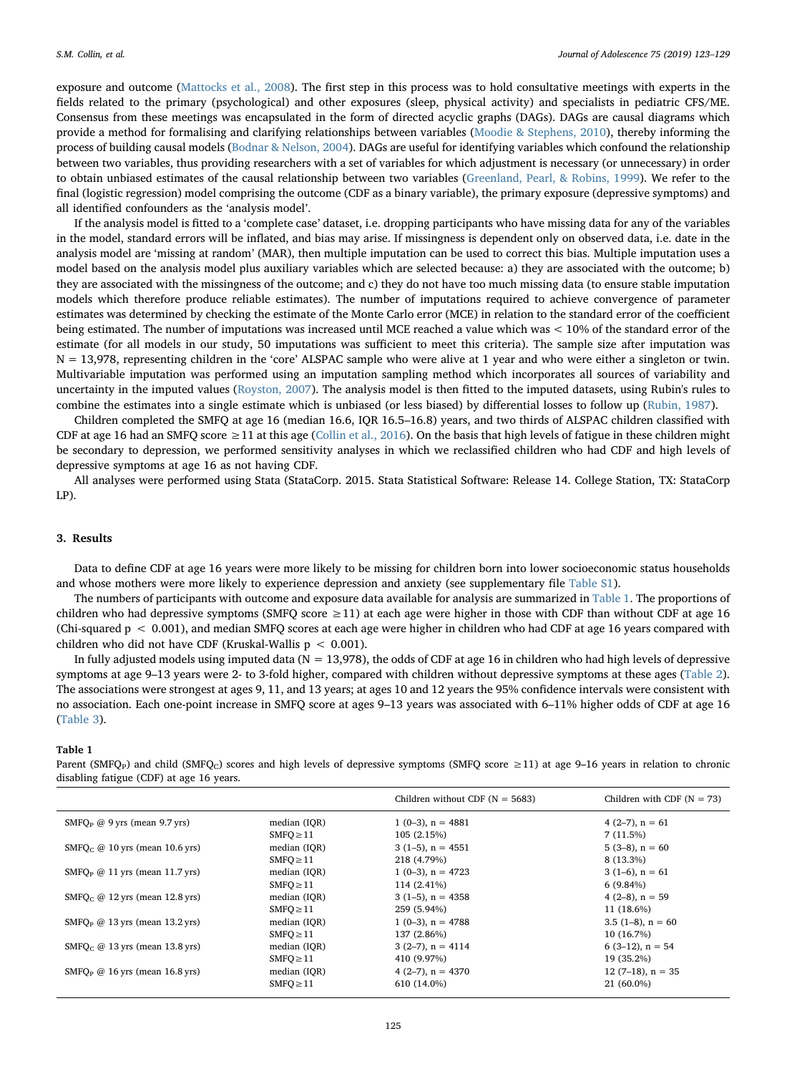exposure and outcome [\(Mattocks et al., 2008\)](#page-6-25). The first step in this process was to hold consultative meetings with experts in the fields related to the primary (psychological) and other exposures (sleep, physical activity) and specialists in pediatric CFS/ME. Consensus from these meetings was encapsulated in the form of directed acyclic graphs (DAGs). DAGs are causal diagrams which provide a method for formalising and clarifying relationships between variables [\(Moodie & Stephens, 2010](#page-6-26)), thereby informing the process of building causal models [\(Bodnar & Nelson, 2004](#page-6-27)). DAGs are useful for identifying variables which confound the relationship between two variables, thus providing researchers with a set of variables for which adjustment is necessary (or unnecessary) in order to obtain unbiased estimates of the causal relationship between two variables ([Greenland, Pearl, & Robins, 1999\)](#page-6-28). We refer to the final (logistic regression) model comprising the outcome (CDF as a binary variable), the primary exposure (depressive symptoms) and all identified confounders as the 'analysis model'.

If the analysis model is fitted to a 'complete case' dataset, i.e. dropping participants who have missing data for any of the variables in the model, standard errors will be inflated, and bias may arise. If missingness is dependent only on observed data, i.e. date in the analysis model are 'missing at random' (MAR), then multiple imputation can be used to correct this bias. Multiple imputation uses a model based on the analysis model plus auxiliary variables which are selected because: a) they are associated with the outcome; b) they are associated with the missingness of the outcome; and c) they do not have too much missing data (to ensure stable imputation models which therefore produce reliable estimates). The number of imputations required to achieve convergence of parameter estimates was determined by checking the estimate of the Monte Carlo error (MCE) in relation to the standard error of the coefficient being estimated. The number of imputations was increased until MCE reached a value which was < 10% of the standard error of the estimate (for all models in our study, 50 imputations was sufficient to meet this criteria). The sample size after imputation was N = 13,978, representing children in the 'core' ALSPAC sample who were alive at 1 year and who were either a singleton or twin. Multivariable imputation was performed using an imputation sampling method which incorporates all sources of variability and uncertainty in the imputed values [\(Royston, 2007\)](#page-6-29). The analysis model is then fitted to the imputed datasets, using Rubin's rules to combine the estimates into a single estimate which is unbiased (or less biased) by differential losses to follow up [\(Rubin, 1987](#page-6-30)).

Children completed the SMFQ at age 16 (median 16.6, IQR 16.5–16.8) years, and two thirds of ALSPAC children classified with CDF at age 16 had an SMFQ score  $\geq 11$  at this age [\(Collin et al., 2016\)](#page-6-14). On the basis that high levels of fatigue in these children might be secondary to depression, we performed sensitivity analyses in which we reclassified children who had CDF and high levels of depressive symptoms at age 16 as not having CDF.

All analyses were performed using Stata (StataCorp. 2015. Stata Statistical Software: Release 14. College Station, TX: StataCorp LP).

# 3. Results

Data to define CDF at age 16 years were more likely to be missing for children born into lower socioeconomic status households and whose mothers were more likely to experience depression and anxiety (see supplementary file Table S1).

The numbers of participants with outcome and exposure data available for analysis are summarized in [Table 1.](#page-2-0) The proportions of children who had depressive symptoms (SMFQ score  $\geq$  11) at each age were higher in those with CDF than without CDF at age 16 (Chi-squared  $p < 0.001$ ), and median SMFQ scores at each age were higher in children who had CDF at age 16 years compared with children who did not have CDF (Kruskal-Wallis p < 0.001).

In fully adjusted models using imputed data ( $N = 13,978$ ), the odds of CDF at age 16 in children who had high levels of depressive symptoms at age 9–13 years were 2- to 3-fold higher, compared with children without depressive symptoms at these ages ([Table 2](#page-3-0)). The associations were strongest at ages 9, 11, and 13 years; at ages 10 and 12 years the 95% confidence intervals were consistent with no association. Each one-point increase in SMFQ score at ages 9–13 years was associated with 6–11% higher odds of CDF at age 16 ([Table 3\)](#page-4-0).

#### <span id="page-2-0"></span>Table 1

Parent (SMFQ<sub>P</sub>) and child (SMFQ<sub>C</sub>) scores and high levels of depressive symptoms (SMFQ score  $\geq$ 11) at age 9–16 years in relation to chronic disabling fatigue (CDF) at age 16 years.

|                                                         |                | Children without CDF ( $N = 5683$ ) | Children with CDF $(N = 73)$ |
|---------------------------------------------------------|----------------|-------------------------------------|------------------------------|
| SMFO <sub>p</sub> $\omega$ 9 yrs (mean 9.7 yrs)         | median (IQR)   | $1(0-3)$ , n = 4881                 | $4(2-7)$ , $n = 61$          |
|                                                         | $SMFO \geq 11$ | 105(2.15%)                          | 7(11.5%)                     |
| SMFO <sub><math>c</math></sub> @ 10 yrs (mean 10.6 yrs) | median (IOR)   | $3(1-5)$ , n = 4551                 | $5(3-8)$ , $n = 60$          |
|                                                         | $SMFO \geq 11$ | 218 (4.79%)                         | 8 (13.3%)                    |
| SMFO <sub>p</sub> $\omega$ 11 yrs (mean 11.7 yrs)       | median (IQR)   | 1 (0-3), $n = 4723$                 | $3(1-6)$ , $n = 61$          |
|                                                         | $SMFO \geq 11$ | 114 (2.41%)                         | $6(9.84\%)$                  |
| SMFO <sub><math>c</math></sub> @ 12 yrs (mean 12.8 yrs) | median (IOR)   | $3(1-5)$ , n = 4358                 | $4(2-8)$ , $n = 59$          |
|                                                         | $SMFO \geq 11$ | 259 (5.94%)                         | 11 (18.6%)                   |
| SMFO <sub>p</sub> $\omega$ 13 yrs (mean 13.2 yrs)       | median (IQR)   | $1(0-3)$ , $n = 4788$               | $3.5(1-8)$ , n = 60          |
|                                                         | $SMFO \geq 11$ | 137 (2.86%)                         | 10(16.7%)                    |
| SMFO <sub><math>c</math></sub> @ 13 yrs (mean 13.8 yrs) | median (IOR)   | $3(2-7)$ , n = 4114                 | $6(3-12)$ , $n = 54$         |
|                                                         | $SMFO \geq 11$ | 410 (9.97%)                         | 19 (35.2%)                   |
| SMFO <sub>p</sub> $\omega$ 16 yrs (mean 16.8 yrs)       | median (IOR)   | $4(2-7)$ , $n = 4370$               | $12(7-18)$ , $n = 35$        |
|                                                         | $SMFO \geq 11$ | 610 (14.0%)                         | 21 (60.0%)                   |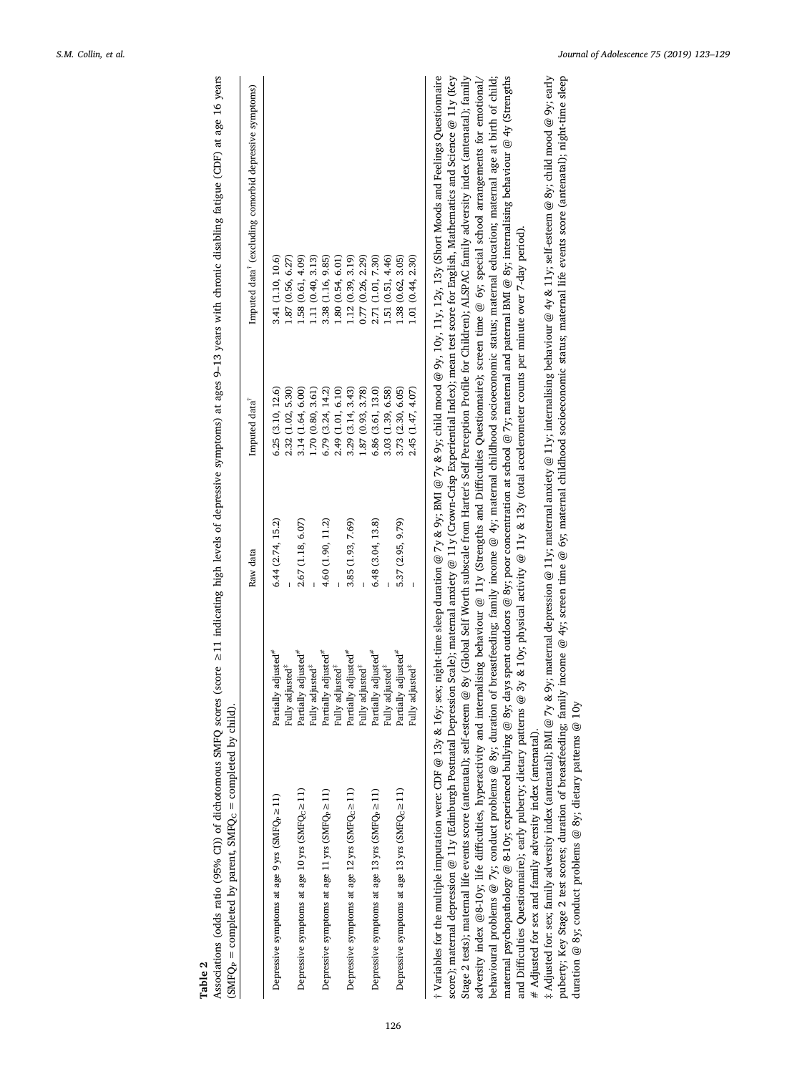|                                                      |                                 | Raw data          | Imputed data      | Imputed data <sup>®</sup> (excluding comorbid depressive symptoms) |
|------------------------------------------------------|---------------------------------|-------------------|-------------------|--------------------------------------------------------------------|
| Depressive symptoms at age 9 yrs (SMF $Qb \ge 11$ )  | Partially adjusted <sup>#</sup> | 6.44 (2.74, 15.2) | 6.25(3.10, 12.6)  | 3.41 (1.10, 10.6)                                                  |
|                                                      | Fully adjusted <sup>3</sup>     |                   | 2.32 (1.02, 5.30) | 1.87(0.56, 6.27)                                                   |
| Depressive symptoms at age 10 yrs $(SMFQc \ge 11)$   | Partially adjusted <sup>#</sup> | 2.67 (1.18, 6.07) | 3.14 (1.64, 6.00) | 1.58 (0.61, 4.09)                                                  |
|                                                      | Fully adjusted <sup>*</sup>     |                   | (70(0.80, 3.61)   | 1.11 (0.40, 3.13)                                                  |
| Depressive symptoms at age 11 yrs $(SMFQ_P \ge 11)$  | Partially adjusted"             | 4.60 (1.90, 11.2) | 6.79 (3.24, 14.2) | 3.38 (1.16, 9.85)                                                  |
|                                                      | Fully adjusted <sup>*</sup>     |                   | 2.49 (1.01, 6.10) | 1.80 (0.54, 6.01)                                                  |
| Depressive symptoms at age 12 yrs (SMFQ $c \ge 11$ ) | Partially adjusted <sup>*</sup> | 3.85 (1.93, 7.69) | 3.29(3.14, 3.43)  | 1.12 (0.39, 3.19)                                                  |
|                                                      | Fully adjusted <sup>*</sup>     |                   | .87(0.93, 3.78)   | 0.77(0.26, 2.29)                                                   |
| Depressive symptoms at age 13 yrs $(SMFQP \ge 11)$   | Partially adjusted <sup>#</sup> | 6.48(3.04, 13.8)  | 6.86(3.61, 13.0)  | 2.71 (1.01, 7.30)                                                  |
|                                                      | Fully adjusted <sup>*</sup>     |                   | 3.03 (1.39, 6.58) | 1.51 (0.51, 4.46)                                                  |
| Depressive symptoms at age 13 yrs $(SMFQc \ge 11)$   | Partially adjusted <sup>#</sup> | 5.37 (2.95, 9.79) | 3.73 (2.30, 6.05) | 1.38 (0.62, 3.05)                                                  |
|                                                      | Fully adjusted <sup>*</sup>     |                   | 2.45 (1.47, 4.07) | 1.01 (0.44, 2.30)                                                  |

<span id="page-3-0"></span>years Associations (odds ratio (95% CI)) of dichotomous SMFQ scores ≥11 indicating high levels of depressive symptoms) at ages 9–13 years with chronic disabling fatigue (CDF) at age 16 years age 16 ronic disabling fatigue (CDF) at with ch Tronto  $\frac{1}{2}$ d Í ļ  $\ddot{a}$  $>11$  indicating high levels of dep  $\mathbf{r}^{\alpha}$ Ć SMEO j ratio (95% CD) of dichotom radda riatio Table 2

† Variables for the multiple imputation were: CDF @ 13y & 16y; sex; night-time sleep duration @ 7y & 9y; BMI @ 7y & 9y; child mood @ 9y, 10y, 11y, 12y, 13y (Short Moods and Feelings Questionnaire<br>score); maternal depressi behavioural problems @ 7y; conduct problems @ 8y; duration of breastfeeding; family income @ 4y; maternal childhood socioeconomic status; maternal education; maternal age at birth of child; maternal psychopathology @ 8-10y; experienced bullying @ 8y; days spent outdoors @ 8y; poor concentration at school @ 7y; maternal and paternal BMI @ 8y; internalising behaviour @ 4y (Strengths score); maternal depression @ 11y (Edinburgh Postnatal Depression Scale); maternal anxiety @ 11y (Crown-Crisp Experiential Index); mean test score for English, Mathematics and Science @ 11y (Key Stage 2 tests); maternal life events score (antenatal); self-esteem @ 8y (Global Self Worth subscale from Harter's Self Perception Profile for Children); ALSPAC family adversity index (antenatal); family adversity index @8-10y; life difficulties, hyperactivity and internalising behaviour @ 11y (Strengths and Difficulties Questionnaire); screen time @ 6y; special school arrangements for emotional/ <sup>+</sup> Variables for the multiple imputation were: CDF @ 13y & 16y; sex; night-time sleep duration @ 7y & 9y; BMI @ 7y & 9y; child mood @ 9y, 10y, 11y, 12y, 13y (Short Moods and Feelings Questionnaire behavioural problems @ 7y; conduct problems @ 8y; duration of breastfeeding; family income @ 4y; maternal schildhood socioeconomic status; maternal education; maternal age at birth of child; maternal psychopathology @ 8-10y; experienced bullying @ 8y; days spent outdoors @ 8y; poor concentration at school @ 7y; maternal and paternal BMI @ 8y; internalising behaviour @ 4y (Strengths and Difficulties Questionnaire); early puberty; dietary patterns @ 3y & 10y; physical activity @ 11y & 13y (total accelerometer counts per minute over 7-day period). and Difficulties Questionnaire); early puberty; dietary patterns @ 3y & 10y; physical activity @ 11y & 13y (total accelerometer counts per minute over 7-day period).  $\#$  Adjusted for sex and family adversity index (antenatal).  $#$  Adjusted for sex and family adversity index (antenatal).

‡ Adjusted for: sex; family adversity index (antenatal); BMI @ 7y & 9y; maternal depression @ 11y; maternal anxiety @ 11y; internalising behaviour @ 4y & 11y; self-esteem @ 8y; child mood @ 9y; early puberty; Key Stage 2 test scores; duration of breastfeeding; family income @ 4y; screen time @ 6y; maternal childhood socioeconomic status; maternal life events score (antenatal); night-time sleep Adjusted for: sex; family adversity index (antenatal); BMI @ 7y & 9y; maternal depression @ 11y; maternal anxiety @ 11y; internalising behaviour @ 4y & 11y; self-esteem @ 8y; child mood @ 9y; early puberty; Key Stage 2 test scores; duration of breastfeeding; family income @ 4y; screen time @ 6y; maternal childhood socioeconomic status; maternal life events score (antenatal); night-time sleep duration @ 8y; conduct problems @ 8y; dietary patterns @ 10y duration @ 8y; conduct problems @ 8y; dietary patterns @ 10y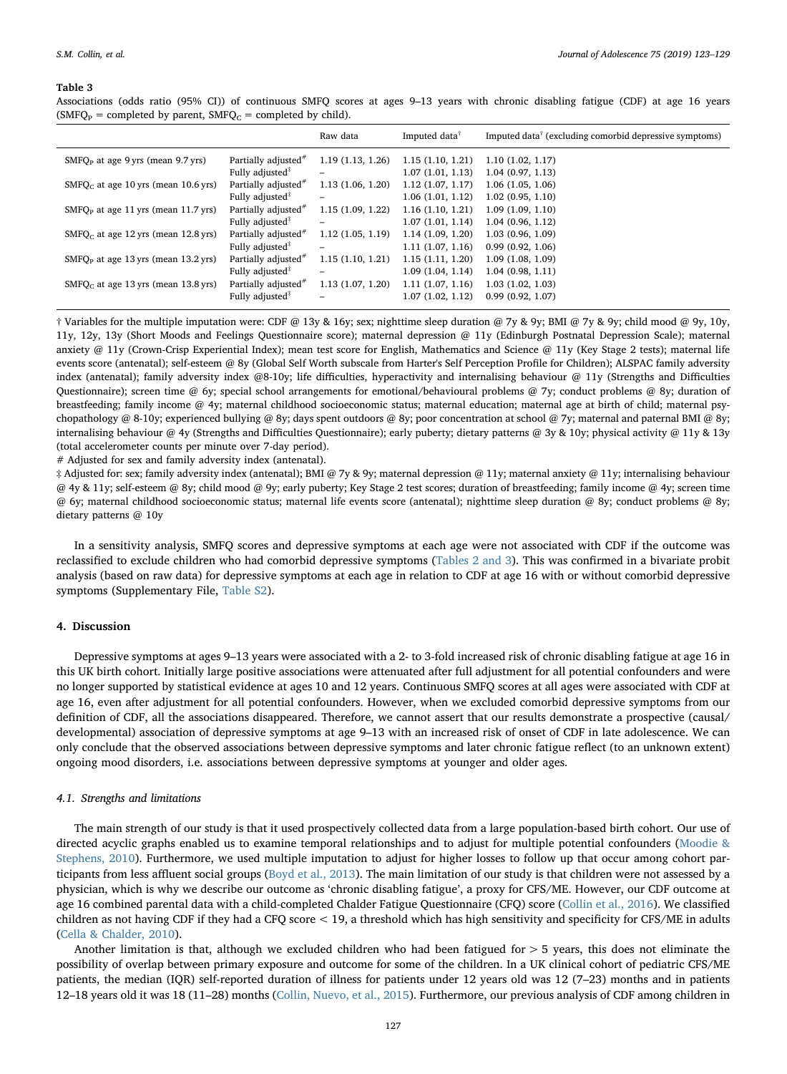#### <span id="page-4-0"></span>Table 3

Associations (odds ratio (95% CI)) of continuous SMFQ scores at ages 9–13 years with chronic disabling fatigue (CDF) at age 16 years (SMFQ<sub>P</sub> = completed by parent, SMFQ<sub>C</sub> = completed by child).

|                                                 |                                 | Raw data         | Imputed data <sup>†</sup> | Imputed data <sup>†</sup> (excluding comorbid depressive symptoms) |
|-------------------------------------------------|---------------------------------|------------------|---------------------------|--------------------------------------------------------------------|
| $SMFQP$ at age 9 yrs (mean 9.7 yrs)             | Partially adjusted <sup>#</sup> | 1.19(1.13, 1.26) | 1.15(1.10, 1.21)          | 1.10(1.02, 1.17)                                                   |
|                                                 | Fully adjusted <sup>#</sup>     |                  | 1.07(1.01, 1.13)          | 1.04(0.97, 1.13)                                                   |
| $SMFOc$ at age 10 yrs (mean 10.6 yrs)           | Partially adjusted <sup>#</sup> | 1.13(1.06, 1.20) | 1.12(1.07, 1.17)          | 1.06(1.05, 1.06)                                                   |
|                                                 | Fully adjusted <sup>*</sup>     | -                | 1.06(1.01, 1.12)          | 1.02(0.95, 1.10)                                                   |
| SMFQ <sub>p</sub> at age 11 yrs (mean 11.7 yrs) | Partially adjusted <sup>#</sup> | 1.15(1.09, 1.22) | 1.16(1.10, 1.21)          | 1.09(1.09, 1.10)                                                   |
|                                                 | Fully adjusted <sup>*</sup>     | -                | 1.07(1.01, 1.14)          | 1.04(0.96, 1.12)                                                   |
| $SMFQC$ at age 12 yrs (mean 12.8 yrs)           | Partially adjusted <sup>#</sup> | 1.12(1.05, 1.19) | 1.14(1.09, 1.20)          | 1.03(0.96, 1.09)                                                   |
|                                                 | Fully adjusted <sup>*</sup>     | -                | 1.11(1.07, 1.16)          | 0.99(0.92, 1.06)                                                   |
| $SMFQp$ at age 13 yrs (mean 13.2 yrs)           | Partially adjusted <sup>#</sup> | 1.15(1.10, 1.21) | 1.15(1.11, 1.20)          | 1.09(1.08, 1.09)                                                   |
|                                                 | Fully adjusted <sup>*</sup>     | -                | 1.09(1.04, 1.14)          | 1.04(0.98, 1.11)                                                   |
| $SMFQC$ at age 13 yrs (mean 13.8 yrs)           | Partially adjusted <sup>#</sup> | 1.13(1.07, 1.20) | 1.11(1.07, 1.16)          | 1.03(1.02, 1.03)                                                   |
|                                                 | Fully adjusted <sup>*</sup>     |                  | 1.07 (1.02, 1.12)         | 0.99(0.92, 1.07)                                                   |

† Variables for the multiple imputation were: CDF @ 13y & 16y; sex; nighttime sleep duration @ 7y & 9y; BMI @ 7y & 9y; child mood @ 9y, 10y, 11y, 12y, 13y (Short Moods and Feelings Questionnaire score); maternal depression @ 11y (Edinburgh Postnatal Depression Scale); maternal anxiety @ 11y (Crown-Crisp Experiential Index); mean test score for English, Mathematics and Science @ 11y (Key Stage 2 tests); maternal life events score (antenatal); self-esteem @ 8y (Global Self Worth subscale from Harter's Self Perception Profile for Children); ALSPAC family adversity index (antenatal); family adversity index @8-10y; life difficulties, hyperactivity and internalising behaviour @ 11y (Strengths and Difficulties Questionnaire); screen time @ 6y; special school arrangements for emotional/behavioural problems @ 7y; conduct problems @ 8y; duration of breastfeeding; family income @ 4y; maternal childhood socioeconomic status; maternal education; maternal age at birth of child; maternal psychopathology @ 8-10y; experienced bullying @ 8y; days spent outdoors @ 8y; poor concentration at school @ 7y; maternal and paternal BMI @ 8y; internalising behaviour @ 4y (Strengths and Difficulties Questionnaire); early puberty; dietary patterns @ 3y & 10y; physical activity @ 11y & 13y (total accelerometer counts per minute over 7-day period).

# Adjusted for sex and family adversity index (antenatal).

‡ Adjusted for: sex; family adversity index (antenatal); BMI @ 7y & 9y; maternal depression @ 11y; maternal anxiety @ 11y; internalising behaviour @ 4y & 11y; self-esteem @ 8y; child mood @ 9y; early puberty; Key Stage 2 test scores; duration of breastfeeding; family income @ 4y; screen time @ 6y; maternal childhood socioeconomic status; maternal life events score (antenatal); nighttime sleep duration @ 8y; conduct problems @ 8y; dietary patterns @ 10y

In a sensitivity analysis, SMFQ scores and depressive symptoms at each age were not associated with CDF if the outcome was reclassified to exclude children who had comorbid depressive symptoms ([Tables 2 and 3](#page-3-0)). This was confirmed in a bivariate probit analysis (based on raw data) for depressive symptoms at each age in relation to CDF at age 16 with or without comorbid depressive symptoms (Supplementary File, Table S2).

# 4. Discussion

Depressive symptoms at ages 9–13 years were associated with a 2- to 3-fold increased risk of chronic disabling fatigue at age 16 in this UK birth cohort. Initially large positive associations were attenuated after full adjustment for all potential confounders and were no longer supported by statistical evidence at ages 10 and 12 years. Continuous SMFQ scores at all ages were associated with CDF at age 16, even after adjustment for all potential confounders. However, when we excluded comorbid depressive symptoms from our definition of CDF, all the associations disappeared. Therefore, we cannot assert that our results demonstrate a prospective (causal/ developmental) association of depressive symptoms at age 9–13 with an increased risk of onset of CDF in late adolescence. We can only conclude that the observed associations between depressive symptoms and later chronic fatigue reflect (to an unknown extent) ongoing mood disorders, i.e. associations between depressive symptoms at younger and older ages.

# 4.1. Strengths and limitations

The main strength of our study is that it used prospectively collected data from a large population-based birth cohort. Our use of directed acyclic graphs enabled us to examine temporal relationships and to adjust for multiple potential confounders [\(Moodie &](#page-6-26) [Stephens, 2010](#page-6-26)). Furthermore, we used multiple imputation to adjust for higher losses to follow up that occur among cohort participants from less affluent social groups ([Boyd et al., 2013\)](#page-6-13). The main limitation of our study is that children were not assessed by a physician, which is why we describe our outcome as 'chronic disabling fatigue', a proxy for CFS/ME. However, our CDF outcome at age 16 combined parental data with a child-completed Chalder Fatigue Questionnaire (CFQ) score [\(Collin et al., 2016](#page-6-14)). We classified children as not having CDF if they had a CFQ score < 19, a threshold which has high sensitivity and specificity for CFS/ME in adults ([Cella & Chalder, 2010\)](#page-6-15).

Another limitation is that, although we excluded children who had been fatigued for > 5 years, this does not eliminate the possibility of overlap between primary exposure and outcome for some of the children. In a UK clinical cohort of pediatric CFS/ME patients, the median (IQR) self-reported duration of illness for patients under 12 years old was 12 (7–23) months and in patients 12–18 years old it was 18 (11–28) months [\(Collin, Nuevo, et al., 2015](#page-6-7)). Furthermore, our previous analysis of CDF among children in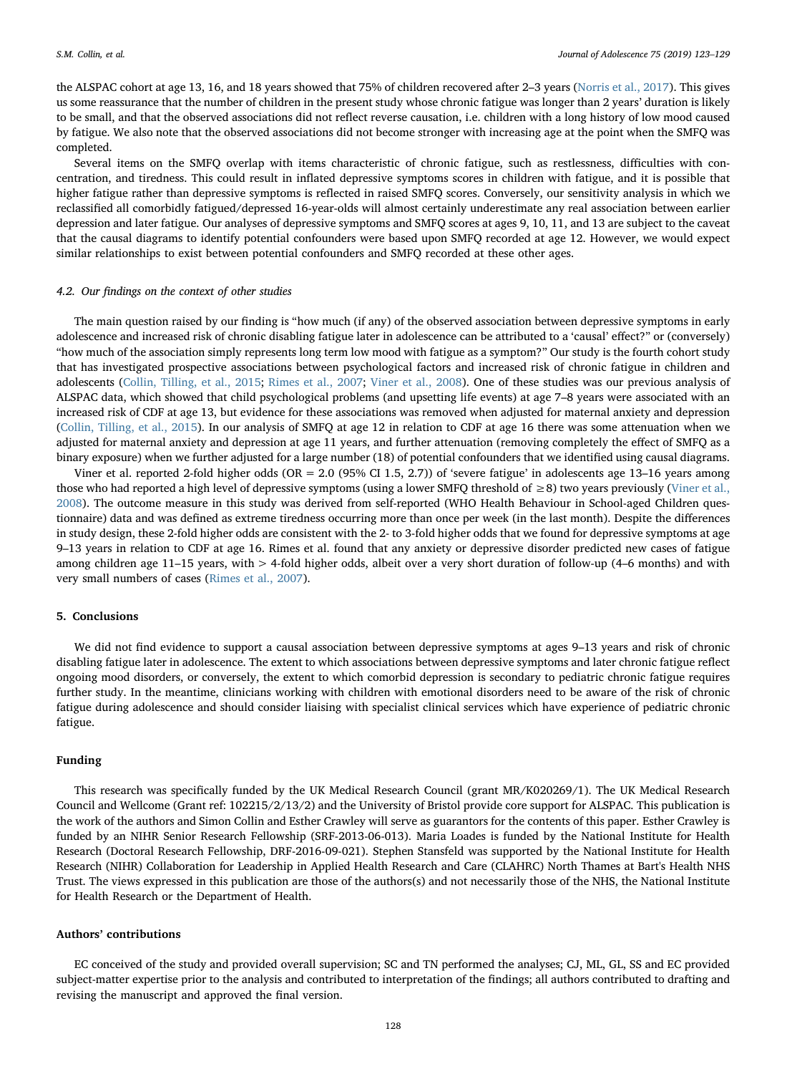the ALSPAC cohort at age 13, 16, and 18 years showed that 75% of children recovered after 2–3 years ([Norris et al., 2017](#page-6-4)). This gives us some reassurance that the number of children in the present study whose chronic fatigue was longer than 2 years' duration is likely to be small, and that the observed associations did not reflect reverse causation, i.e. children with a long history of low mood caused by fatigue. We also note that the observed associations did not become stronger with increasing age at the point when the SMFQ was completed.

Several items on the SMFQ overlap with items characteristic of chronic fatigue, such as restlessness, difficulties with concentration, and tiredness. This could result in inflated depressive symptoms scores in children with fatigue, and it is possible that higher fatigue rather than depressive symptoms is reflected in raised SMFQ scores. Conversely, our sensitivity analysis in which we reclassified all comorbidly fatigued/depressed 16-year-olds will almost certainly underestimate any real association between earlier depression and later fatigue. Our analyses of depressive symptoms and SMFQ scores at ages 9, 10, 11, and 13 are subject to the caveat that the causal diagrams to identify potential confounders were based upon SMFQ recorded at age 12. However, we would expect similar relationships to exist between potential confounders and SMFQ recorded at these other ages.

#### 4.2. Our findings on the context of other studies

The main question raised by our finding is "how much (if any) of the observed association between depressive symptoms in early adolescence and increased risk of chronic disabling fatigue later in adolescence can be attributed to a 'causal' effect?" or (conversely) "how much of the association simply represents long term low mood with fatigue as a symptom?" Our study is the fourth cohort study that has investigated prospective associations between psychological factors and increased risk of chronic fatigue in children and adolescents [\(Collin, Tilling, et al., 2015;](#page-6-12) [Rimes et al., 2007](#page-6-3); [Viner et al., 2008\)](#page-6-31). One of these studies was our previous analysis of ALSPAC data, which showed that child psychological problems (and upsetting life events) at age 7–8 years were associated with an increased risk of CDF at age 13, but evidence for these associations was removed when adjusted for maternal anxiety and depression ([Collin, Tilling, et al., 2015\)](#page-6-12). In our analysis of SMFQ at age 12 in relation to CDF at age 16 there was some attenuation when we adjusted for maternal anxiety and depression at age 11 years, and further attenuation (removing completely the effect of SMFQ as a binary exposure) when we further adjusted for a large number (18) of potential confounders that we identified using causal diagrams.

Viner et al. reported 2-fold higher odds (OR = 2.0 (95% CI 1.5, 2.7)) of 'severe fatigue' in adolescents age 13–16 years among those who had reported a high level of depressive symptoms (using a lower SMFQ threshold of ≥8) two years previously ([Viner et al.,](#page-6-31) [2008\)](#page-6-31). The outcome measure in this study was derived from self-reported (WHO Health Behaviour in School-aged Children questionnaire) data and was defined as extreme tiredness occurring more than once per week (in the last month). Despite the differences in study design, these 2-fold higher odds are consistent with the 2- to 3-fold higher odds that we found for depressive symptoms at age 9–13 years in relation to CDF at age 16. Rimes et al. found that any anxiety or depressive disorder predicted new cases of fatigue among children age 11–15 years, with > 4-fold higher odds, albeit over a very short duration of follow-up (4–6 months) and with very small numbers of cases ([Rimes et al., 2007\)](#page-6-3).

# 5. Conclusions

We did not find evidence to support a causal association between depressive symptoms at ages 9–13 years and risk of chronic disabling fatigue later in adolescence. The extent to which associations between depressive symptoms and later chronic fatigue reflect ongoing mood disorders, or conversely, the extent to which comorbid depression is secondary to pediatric chronic fatigue requires further study. In the meantime, clinicians working with children with emotional disorders need to be aware of the risk of chronic fatigue during adolescence and should consider liaising with specialist clinical services which have experience of pediatric chronic fatigue.

## Funding

This research was specifically funded by the UK Medical Research Council (grant MR/K020269/1). The UK Medical Research Council and Wellcome (Grant ref: 102215/2/13/2) and the University of Bristol provide core support for ALSPAC. This publication is the work of the authors and Simon Collin and Esther Crawley will serve as guarantors for the contents of this paper. Esther Crawley is funded by an NIHR Senior Research Fellowship (SRF-2013-06-013). Maria Loades is funded by the National Institute for Health Research (Doctoral Research Fellowship, DRF-2016-09-021). Stephen Stansfeld was supported by the National Institute for Health Research (NIHR) Collaboration for Leadership in Applied Health Research and Care (CLAHRC) North Thames at Bart's Health NHS Trust. The views expressed in this publication are those of the authors(s) and not necessarily those of the NHS, the National Institute for Health Research or the Department of Health.

#### Authors' contributions

EC conceived of the study and provided overall supervision; SC and TN performed the analyses; CJ, ML, GL, SS and EC provided subject-matter expertise prior to the analysis and contributed to interpretation of the findings; all authors contributed to drafting and revising the manuscript and approved the final version.